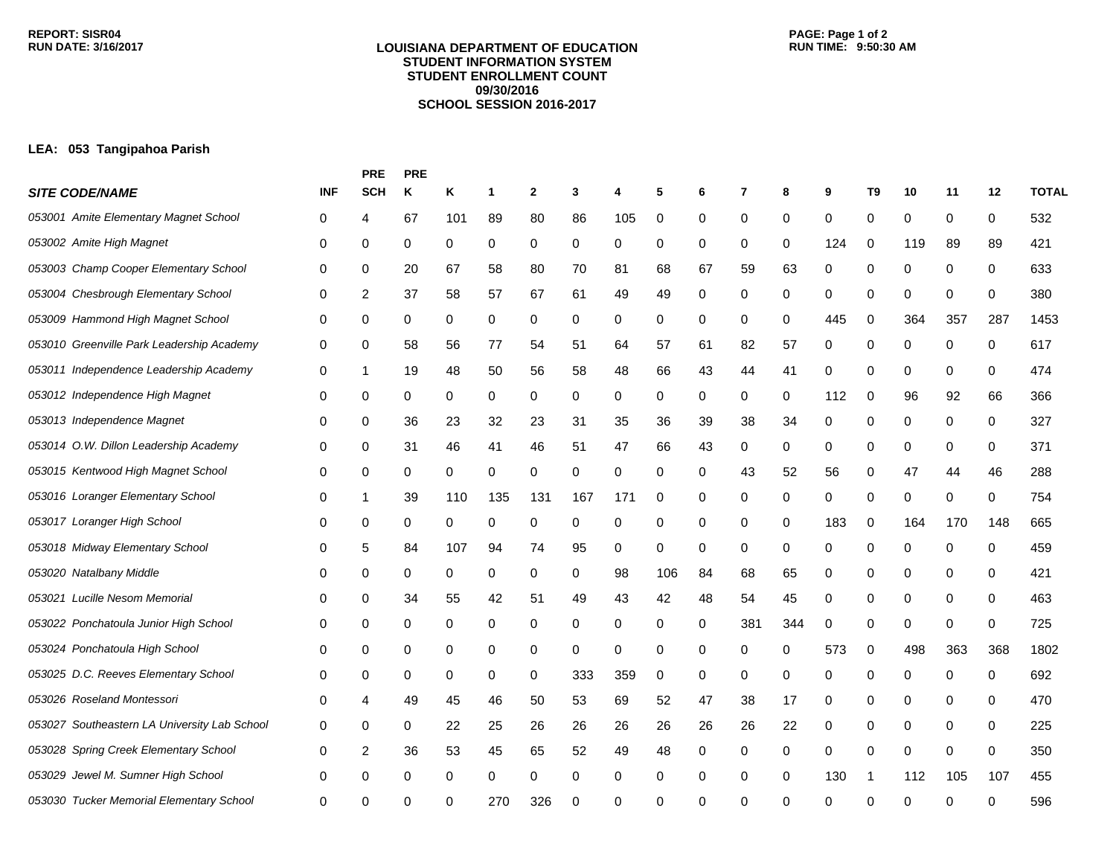## **LOUISIANA DEPARTMENT OF EDUCATION STUDENT INFORMATION SYSTEM STUDENT ENROLLMENT COUNT 09/30/2016 SCHOOL SESSION 2016-2017**

## **LEA: 053 Tangipahoa Parish**

|                                              |              | <b>PRE</b>              | <b>PRE</b> |     |          |              |     |     |     |    |                |     |     |    |     |     |     |              |
|----------------------------------------------|--------------|-------------------------|------------|-----|----------|--------------|-----|-----|-----|----|----------------|-----|-----|----|-----|-----|-----|--------------|
| <b>SITE CODE/NAME</b>                        | <b>INF</b>   | <b>SCH</b>              | κ          | Κ   | 1        | $\mathbf{2}$ | 3   | 4   | 5   | 6  | $\overline{7}$ | 8   | 9   | T9 | 10  | 11  | 12  | <b>TOTAL</b> |
| 053001 Amite Elementary Magnet School        | 0            | 4                       | 67         | 101 | 89       | 80           | 86  | 105 | 0   | 0  | 0              | 0   | 0   | 0  | 0   | 0   | 0   | 532          |
| 053002 Amite High Magnet                     | 0            | 0                       | 0          | 0   | 0        | 0            | 0   | 0   | 0   | 0  | 0              | 0   | 124 | 0  | 119 | 89  | 89  | 421          |
| 053003 Champ Cooper Elementary School        | 0            | 0                       | 20         | 67  | 58       | 80           | 70  | 81  | 68  | 67 | 59             | 63  | 0   | 0  | 0   | 0   | 0   | 633          |
| 053004 Chesbrough Elementary School          | 0            | $\overline{\mathbf{c}}$ | 37         | 58  | 57       | 67           | 61  | 49  | 49  | 0  | 0              | 0   | 0   | 0  | 0   | 0   | 0   | 380          |
| 053009 Hammond High Magnet School            | 0            | 0                       | 0          | 0   | 0        | 0            | 0   | 0   | 0   | 0  | 0              | 0   | 445 | 0  | 364 | 357 | 287 | 1453         |
| 053010 Greenville Park Leadership Academy    | 0            | 0                       | 58         | 56  | 77       | 54           | 51  | 64  | 57  | 61 | 82             | 57  | 0   | 0  | 0   | 0   | 0   | 617          |
| 053011 Independence Leadership Academy       | 0            | 1                       | 19         | 48  | 50       | 56           | 58  | 48  | 66  | 43 | 44             | 41  | 0   | 0  | 0   | 0   | 0   | 474          |
| 053012 Independence High Magnet              | 0            | 0                       | 0          | 0   | 0        | 0            | 0   | 0   | 0   | 0  | 0              | 0   | 112 | 0  | 96  | 92  | 66  | 366          |
| 053013 Independence Magnet                   | 0            | 0                       | 36         | 23  | 32       | 23           | 31  | 35  | 36  | 39 | 38             | 34  | 0   | 0  | 0   | 0   | 0   | 327          |
| 053014 O.W. Dillon Leadership Academy        | 0            | 0                       | 31         | 46  | 41       | 46           | 51  | 47  | 66  | 43 | 0              | 0   | 0   | 0  | 0   | 0   | 0   | 371          |
| 053015 Kentwood High Magnet School           | 0            | 0                       | 0          | 0   | 0        | 0            | 0   | 0   | 0   | 0  | 43             | 52  | 56  | 0  | 47  | 44  | 46  | 288          |
| 053016 Loranger Elementary School            | 0            | 1                       | 39         | 110 | 135      | 131          | 167 | 171 | 0   | 0  | 0              | 0   | 0   | 0  | 0   | 0   | 0   | 754          |
| 053017 Loranger High School                  | 0            | 0                       | 0          | 0   | 0        | 0            | 0   | 0   | 0   | 0  | 0              | 0   | 183 | 0  | 164 | 170 | 148 | 665          |
| 053018 Midway Elementary School              | 0            | 5                       | 84         | 107 | 94       | 74           | 95  | 0   | 0   | 0  | 0              | 0   | 0   | 0  | 0   | 0   | 0   | 459          |
| 053020 Natalbany Middle                      | 0            | 0                       | 0          | 0   | 0        | 0            | 0   | 98  | 106 | 84 | 68             | 65  | 0   | 0  | 0   | 0   | 0   | 421          |
| 053021 Lucille Nesom Memorial                | 0            | 0                       | 34         | 55  | 42       | 51           | 49  | 43  | 42  | 48 | 54             | 45  | 0   | 0  | 0   | 0   | 0   | 463          |
| 053022 Ponchatoula Junior High School        | 0            | 0                       | 0          | 0   | 0        | 0            | 0   | 0   | 0   | 0  | 381            | 344 | 0   | 0  | 0   | 0   | 0   | 725          |
| 053024 Ponchatoula High School               | 0            | 0                       | 0          | 0   | 0        | 0            | 0   | 0   | 0   | 0  | 0              | 0   | 573 | 0  | 498 | 363 | 368 | 1802         |
| 053025 D.C. Reeves Elementary School         | 0            | 0                       | 0          | 0   | 0        | 0            | 333 | 359 | 0   | 0  | 0              | 0   | 0   | 0  | 0   | 0   | 0   | 692          |
| 053026 Roseland Montessori                   | 0            | 4                       | 49         | 45  | 46       | 50           | 53  | 69  | 52  | 47 | 38             | 17  | 0   | 0  | 0   | 0   | 0   | 470          |
| 053027 Southeastern LA University Lab School | 0            | 0                       | 0          | 22  | 25       | 26           | 26  | 26  | 26  | 26 | 26             | 22  | 0   | 0  | 0   | 0   | 0   | 225          |
| 053028 Spring Creek Elementary School        | 0            | 2                       | 36         | 53  | 45       | 65           | 52  | 49  | 48  | 0  | 0              | 0   | 0   | 0  | 0   | 0   | 0   | 350          |
| 053029 Jewel M. Sumner High School           | 0            | 0                       | 0          | 0   | $\Omega$ | 0            | 0   | 0   | 0   | 0  | 0              | 0   | 130 |    | 112 | 105 | 107 | 455          |
| 053030 Tucker Memorial Elementary School     | <sup>0</sup> | ∩                       | ∩          |     | 270      | 326          | ∩   | U   | 0   | n  | O              | O   | ∩   | ∩  | ∩   | ∩   |     | 596          |